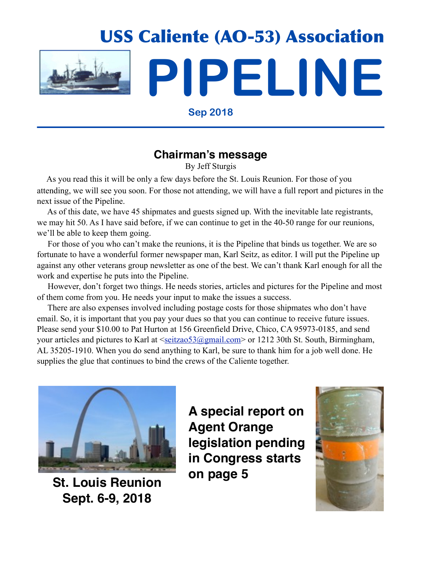

**Sep 2018**

## **Chairman's message**

By Jeff Sturgis

 As you read this it will be only a few days before the St. Louis Reunion. For those of you attending, we will see you soon. For those not attending, we will have a full report and pictures in the next issue of the Pipeline.

 As of this date, we have 45 shipmates and guests signed up. With the inevitable late registrants, we may hit 50. As I have said before, if we can continue to get in the 40-50 range for our reunions, we'll be able to keep them going.

 For those of you who can't make the reunions, it is the Pipeline that binds us together. We are so fortunate to have a wonderful former newspaper man, Karl Seitz, as editor. I will put the Pipeline up against any other veterans group newsletter as one of the best. We can't thank Karl enough for all the work and expertise he puts into the Pipeline.

 However, don't forget two things. He needs stories, articles and pictures for the Pipeline and most of them come from you. He needs your input to make the issues a success.

 There are also expenses involved including postage costs for those shipmates who don't have email. So, it is important that you pay your dues so that you can continue to receive future issues. Please send your \$10.00 to Pat Hurton at 156 Greenfield Drive, Chico, CA 95973-0185, and send your articles and pictures to Karl at [<seitzao53@gmail.com>](mailto:seitzao53@gmail.com) or 1212 30th St. South, Birmingham, AL 35205-1910. When you do send anything to Karl, be sure to thank him for a job well done. He supplies the glue that continues to bind the crews of the Caliente together.



**St. Louis Reunion Sept. 6-9, 2018**

**A special report on Agent Orange legislation pending in Congress starts on page 5**

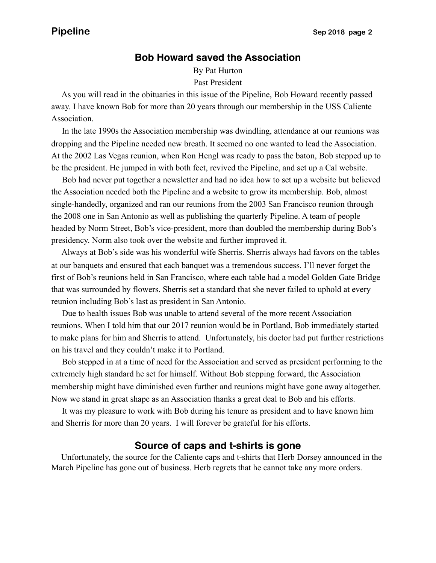## **Bob Howard saved the Association**

By Pat Hurton Past President

 As you will read in the obituaries in this issue of the Pipeline, Bob Howard recently passed away. I have known Bob for more than 20 years through our membership in the USS Caliente Association.

 In the late 1990s the Association membership was dwindling, attendance at our reunions was dropping and the Pipeline needed new breath. It seemed no one wanted to lead the Association. At the 2002 Las Vegas reunion, when Ron Hengl was ready to pass the baton, Bob stepped up to be the president. He jumped in with both feet, revived the Pipeline, and set up a Cal website.

 Bob had never put together a newsletter and had no idea how to set up a website but believed the Association needed both the Pipeline and a website to grow its membership. Bob, almost single-handedly, organized and ran our reunions from the 2003 San Francisco reunion through the 2008 one in San Antonio as well as publishing the quarterly Pipeline. A team of people headed by Norm Street, Bob's vice-president, more than doubled the membership during Bob's presidency. Norm also took over the website and further improved it.

 Always at Bob's side was his wonderful wife Sherris. Sherris always had favors on the tables at our banquets and ensured that each banquet was a tremendous success. I'll never forget the first of Bob's reunions held in San Francisco, where each table had a model Golden Gate Bridge that was surrounded by flowers. Sherris set a standard that she never failed to uphold at every reunion including Bob's last as president in San Antonio.

 Due to health issues Bob was unable to attend several of the more recent Association reunions. When I told him that our 2017 reunion would be in Portland, Bob immediately started to make plans for him and Sherris to attend. Unfortunately, his doctor had put further restrictions on his travel and they couldn't make it to Portland.

 Bob stepped in at a time of need for the Association and served as president performing to the extremely high standard he set for himself. Without Bob stepping forward, the Association membership might have diminished even further and reunions might have gone away altogether. Now we stand in great shape as an Association thanks a great deal to Bob and his efforts.

 It was my pleasure to work with Bob during his tenure as president and to have known him and Sherris for more than 20 years. I will forever be grateful for his efforts.

## **Source of caps and t-shirts is gone**

 Unfortunately, the source for the Caliente caps and t-shirts that Herb Dorsey announced in the March Pipeline has gone out of business. Herb regrets that he cannot take any more orders.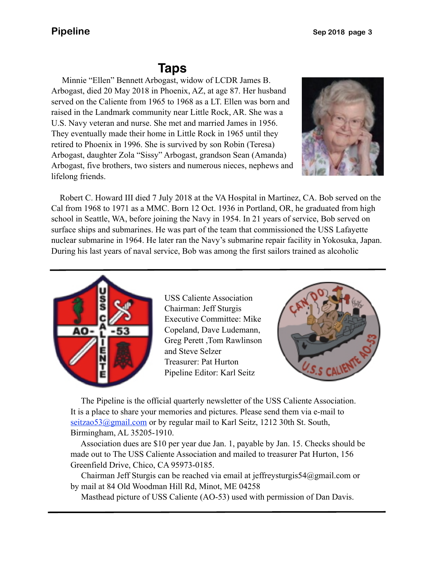# **Taps**

 U.S. Navy veteran and nurse. She met and married James in 1956. Minnie "Ellen" Bennett Arbogast, widow of LCDR James B. Arbogast, died 20 May 2018 in Phoenix, AZ, at age 87. Her husband served on the Caliente from 1965 to 1968 as a LT. Ellen was born and raised in the Landmark community near Little Rock, AR. She was a They eventually made their home in Little Rock in 1965 until they retired to Phoenix in 1996. She is survived by son Robin (Teresa) Arbogast, daughter Zola "Sissy" Arbogast, grandson Sean (Amanda) Arbogast, five brothers, two sisters and numerous nieces, nephews and lifelong friends.



 Robert C. Howard III died 7 July 2018 at the VA Hospital in Martinez, CA. Bob served on the Cal from 1968 to 1971 as a MMC. Born 12 Oct. 1936 in Portland, OR, he graduated from high school in Seattle, WA, before joining the Navy in 1954. In 21 years of service, Bob served on surface ships and submarines. He was part of the team that commissioned the USS Lafayette nuclear submarine in 1964. He later ran the Navy's submarine repair facility in Yokosuka, Japan. During his last years of naval service, Bob was among the first sailors trained as alcoholic



USS Caliente Association Chairman: Jeff Sturgis Executive Committee: Mike Copeland, Dave Ludemann, Greg Perett ,Tom Rawlinson and Steve Selzer Treasurer: Pat Hurton Pipeline Editor: Karl Seitz



 The Pipeline is the official quarterly newsletter of the USS Caliente Association. It is a place to share your memories and pictures. Please send them via e-mail to seitzao53@gmail.com or by regular mail to Karl Seitz, 1212 30th St. South, Birmingham, AL 35205-1910.

 Association dues are \$10 per year due Jan. 1, payable by Jan. 15. Checks should be made out to The USS Caliente Association and mailed to treasurer Pat Hurton, 156 Greenfield Drive, Chico, CA 95973-0185.

 Chairman Jeff Sturgis can be reached via email at jeffreysturgis54@gmail.com or by mail at 84 Old Woodman Hill Rd, Minot, ME 04258

Masthead picture of USS Caliente (AO-53) used with permission of Dan Davis.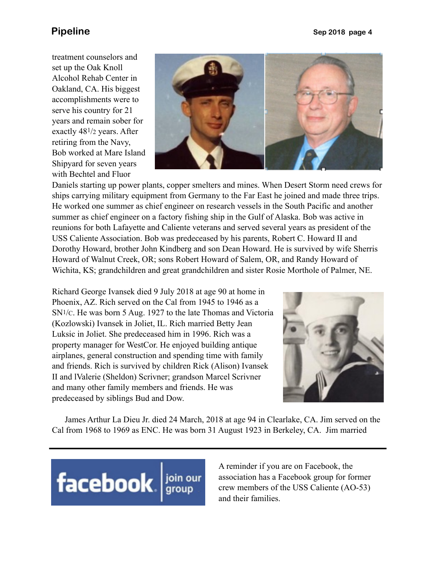treatment counselors and set up the Oak Knoll Alcohol Rehab Center in Oakland, CA. His biggest accomplishments were to serve his country for 21 years and remain sober for exactly 481/2 years. After retiring from the Navy, Bob worked at Mare Island Shipyard for seven years with Bechtel and Fluor



Daniels starting up power plants, copper smelters and mines. When Desert Storm need crews for ships carrying military equipment from Germany to the Far East he joined and made three trips. He worked one summer as chief engineer on research vessels in the South Pacific and another summer as chief engineer on a factory fishing ship in the Gulf of Alaska. Bob was active in reunions for both Lafayette and Caliente veterans and served several years as president of the USS Caliente Association. Bob was predeceased by his parents, Robert C. Howard II and Dorothy Howard, brother John Kindberg and son Dean Howard. He is survived by wife Sherris Howard of Walnut Creek, OR; sons Robert Howard of Salem, OR, and Randy Howard of Wichita, KS; grandchildren and great grandchildren and sister Rosie Morthole of Palmer, NE.

Richard George Ivansek died 9 July 2018 at age 90 at home in Phoenix, AZ. Rich served on the Cal from 1945 to 1946 as a SN1/C. He was born 5 Aug. 1927 to the late Thomas and Victoria (Kozlowski) Ivansek in Joliet, IL. Rich married Betty Jean Luksic in Joliet. She predeceased him in 1996. Rich was a property manager for WestCor. He enjoyed building antique airplanes, general construction and spending time with family and friends. Rich is survived by children Rick (Alison) Ivansek II and lValerie (Sheldon) Scrivner; grandson Marcel Scrivner and many other family members and friends. He was predeceased by siblings Bud and Dow.



 James Arthur La Dieu Jr. died 24 March, 2018 at age 94 in Clearlake, CA. Jim served on the Cal from 1968 to 1969 as ENC. He was born 31 August 1923 in Berkeley, CA. Jim married



A reminder if you are on Facebook, the association has a Facebook group for former crew members of the USS Caliente (AO-53) and their families.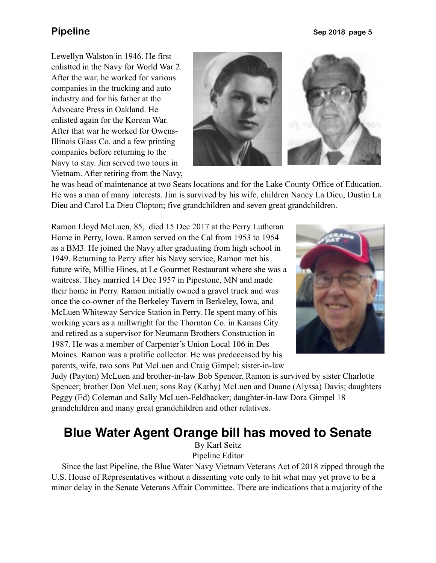Lewellyn Walston in 1946. He first enlistted in the Navy for World War 2. After the war, he worked for various companies in the trucking and auto industry and for his father at the Advocate Press in Oakland. He enlisted again for the Korean War. After that war he worked for Owens-Illinois Glass Co. and a few printing companies before returning to the Navy to stay. Jim served two tours in Vietnam. After retiring from the Navy,



he was head of maintenance at two Sears locations and for the Lake County Office of Education. He was a man of many interests. Jim is survived by his wife, children Nancy La Dieu, Dustin La Dieu and Carol La Dieu Clopton; five grandchildren and seven great grandchildren.

Ramon Lloyd McLuen, 85, died 15 Dec 2017 at the Perry Lutheran Home in Perry, Iowa. Ramon served on the Cal from 1953 to 1954 as a BM3. He joined the Navy after graduating from high school in 1949. Returning to Perry after his Navy service, Ramon met his future wife, Millie Hines, at Le Gourmet Restaurant where she was a waitress. They married 14 Dec 1957 in Pipestone, MN and made their home in Perry. Ramon initially owned a gravel truck and was once the co-owner of the Berkeley Tavern in Berkeley, Iowa, and McLuen Whiteway Service Station in Perry. He spent many of his working years as a millwright for the Thornton Co. in Kansas City and retired as a supervisor for Neumann Brothers Construction in 1987. He was a member of Carpenter's Union Local 106 in Des Moines. Ramon was a prolific collector. He was predeceased by his parents, wife, two sons Pat McLuen and Craig Gimpel; sister-in-law



Judy (Payton) McLuen and brother-in-law Bob Spencer. Ramon is survived by sister Charlotte Spencer; brother Don McLuen; sons Roy (Kathy) McLuen and Duane (Alyssa) Davis; daughters Peggy (Ed) Coleman and Sally McLuen-Feldhacker; daughter-in-law Dora Gimpel 18 grandchildren and many great grandchildren and other relatives.

# **Blue Water Agent Orange bill has moved to Senate**

By Karl Seitz Pipeline Editor

 Since the last Pipeline, the Blue Water Navy Vietnam Veterans Act of 2018 zipped through the U.S. House of Representatives without a dissenting vote only to hit what may yet prove to be a minor delay in the Senate Veterans Affair Committee. There are indications that a majority of the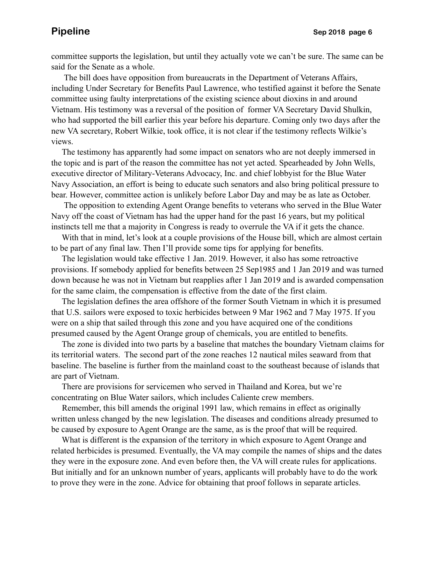committee supports the legislation, but until they actually vote we can't be sure. The same can be said for the Senate as a whole.

 The bill does have opposition from bureaucrats in the Department of Veterans Affairs, including Under Secretary for Benefits Paul Lawrence, who testified against it before the Senate committee using faulty interpretations of the existing science about dioxins in and around Vietnam. His testimony was a reversal of the position of former VA Secretary David Shulkin, who had supported the bill earlier this year before his departure. Coming only two days after the new VA secretary, Robert Wilkie, took office, it is not clear if the testimony reflects Wilkie's views.

 The testimony has apparently had some impact on senators who are not deeply immersed in the topic and is part of the reason the committee has not yet acted. Spearheaded by John Wells, executive director of Military-Veterans Advocacy, Inc. and chief lobbyist for the Blue Water Navy Association, an effort is being to educate such senators and also bring political pressure to bear. However, committee action is unlikely before Labor Day and may be as late as October.

 The opposition to extending Agent Orange benefits to veterans who served in the Blue Water Navy off the coast of Vietnam has had the upper hand for the past 16 years, but my political instincts tell me that a majority in Congress is ready to overrule the VA if it gets the chance.

With that in mind, let's look at a couple provisions of the House bill, which are almost certain to be part of any final law. Then I'll provide some tips for applying for benefits.

 The legislation would take effective 1 Jan. 2019. However, it also has some retroactive provisions. If somebody applied for benefits between 25 Sep1985 and 1 Jan 2019 and was turned down because he was not in Vietnam but reapplies after 1 Jan 2019 and is awarded compensation for the same claim, the compensation is effective from the date of the first claim.

 The legislation defines the area offshore of the former South Vietnam in which it is presumed that U.S. sailors were exposed to toxic herbicides between 9 Mar 1962 and 7 May 1975. If you were on a ship that sailed through this zone and you have acquired one of the conditions presumed caused by the Agent Orange group of chemicals, you are entitled to benefits.

 The zone is divided into two parts by a baseline that matches the boundary Vietnam claims for its territorial waters. The second part of the zone reaches 12 nautical miles seaward from that baseline. The baseline is further from the mainland coast to the southeast because of islands that are part of Vietnam.

 There are provisions for servicemen who served in Thailand and Korea, but we're concentrating on Blue Water sailors, which includes Caliente crew members.

 Remember, this bill amends the original 1991 law, which remains in effect as originally written unless changed by the new legislation. The diseases and conditions already presumed to be caused by exposure to Agent Orange are the same, as is the proof that will be required.

 What is different is the expansion of the territory in which exposure to Agent Orange and related herbicides is presumed. Eventually, the VA may compile the names of ships and the dates they were in the exposure zone. And even before then, the VA will create rules for applications. But initially and for an unknown number of years, applicants will probably have to do the work to prove they were in the zone. Advice for obtaining that proof follows in separate articles.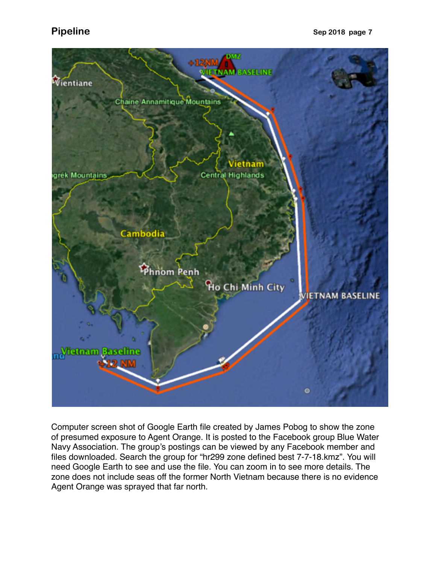

Computer screen shot of Google Earth file created by James Pobog to show the zone of presumed exposure to Agent Orange. It is posted to the Facebook group Blue Water Navy Association. The group's postings can be viewed by any Facebook member and files downloaded. Search the group for "hr299 zone defined best 7-7-18.kmz". You will need Google Earth to see and use the file. You can zoom in to see more details. The zone does not include seas off the former North Vietnam because there is no evidence Agent Orange was sprayed that far north.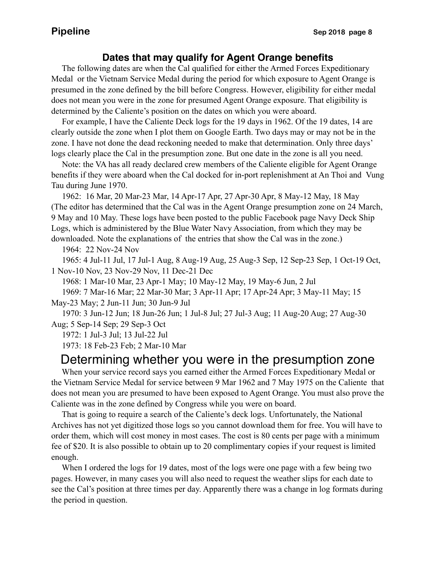## **Dates that may qualify for Agent Orange benefits**

 The following dates are when the Cal qualified for either the Armed Forces Expeditionary Medal or the Vietnam Service Medal during the period for which exposure to Agent Orange is presumed in the zone defined by the bill before Congress. However, eligibility for either medal does not mean you were in the zone for presumed Agent Orange exposure. That eligibility is determined by the Caliente's position on the dates on which you were aboard.

 For example, I have the Caliente Deck logs for the 19 days in 1962. Of the 19 dates, 14 are clearly outside the zone when I plot them on Google Earth. Two days may or may not be in the zone. I have not done the dead reckoning needed to make that determination. Only three days' logs clearly place the Cal in the presumption zone. But one date in the zone is all you need.

 Note: the VA has all ready declared crew members of the Caliente eligible for Agent Orange benefits if they were aboard when the Cal docked for in-port replenishment at An Thoi and Vung Tau during June 1970.

 1962: 16 Mar, 20 Mar-23 Mar, 14 Apr-17 Apr, 27 Apr-30 Apr, 8 May-12 May, 18 May (The editor has determined that the Cal was in the Agent Orange presumption zone on 24 March, 9 May and 10 May. These logs have been posted to the public Facebook page Navy Deck Ship Logs, which is administered by the Blue Water Navy Association, from which they may be downloaded. Note the explanations of the entries that show the Cal was in the zone.)

1964: 22 Nov-24 Nov

 1965: 4 Jul-11 Jul, 17 Jul-1 Aug, 8 Aug-19 Aug, 25 Aug-3 Sep, 12 Sep-23 Sep, 1 Oct-19 Oct, 1 Nov-10 Nov, 23 Nov-29 Nov, 11 Dec-21 Dec

1968: 1 Mar-10 Mar, 23 Apr-1 May; 10 May-12 May, 19 May-6 Jun, 2 Jul

 1969: 7 Mar-16 Mar; 22 Mar-30 Mar; 3 Apr-11 Apr; 17 Apr-24 Apr; 3 May-11 May; 15 May-23 May; 2 Jun-11 Jun; 30 Jun-9 Jul

 1970: 3 Jun-12 Jun; 18 Jun-26 Jun; 1 Jul-8 Jul; 27 Jul-3 Aug; 11 Aug-20 Aug; 27 Aug-30 Aug; 5 Sep-14 Sep; 29 Sep-3 Oct

1972: 1 Jul-3 Jul; 13 Jul-22 Jul

1973: 18 Feb-23 Feb; 2 Mar-10 Mar

# Determining whether you were in the presumption zone

 When your service record says you earned either the Armed Forces Expeditionary Medal or the Vietnam Service Medal for service between 9 Mar 1962 and 7 May 1975 on the Caliente that does not mean you are presumed to have been exposed to Agent Orange. You must also prove the Caliente was in the zone defined by Congress while you were on board.

 That is going to require a search of the Caliente's deck logs. Unfortunately, the National Archives has not yet digitized those logs so you cannot download them for free. You will have to order them, which will cost money in most cases. The cost is 80 cents per page with a minimum fee of \$20. It is also possible to obtain up to 20 complimentary copies if your request is limited enough.

 When I ordered the logs for 19 dates, most of the logs were one page with a few being two pages. However, in many cases you will also need to request the weather slips for each date to see the Cal's position at three times per day. Apparently there was a change in log formats during the period in question.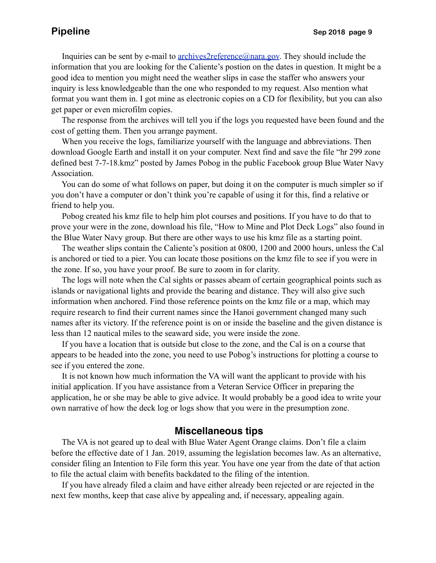Inquiries can be sent by e-mail to <u>archives2reference@nara.gov</u>. They should include the information that you are looking for the Caliente's postion on the dates in question. It might be a good idea to mention you might need the weather slips in case the staffer who answers your inquiry is less knowledgeable than the one who responded to my request. Also mention what format you want them in. I got mine as electronic copies on a CD for flexibility, but you can also get paper or even microfilm copies.

 The response from the archives will tell you if the logs you requested have been found and the cost of getting them. Then you arrange payment.

 When you receive the logs, familiarize yourself with the language and abbreviations. Then download Google Earth and install it on your computer. Next find and save the file "hr 299 zone defined best 7-7-18.kmz" posted by James Pobog in the public Facebook group Blue Water Navy Association.

 You can do some of what follows on paper, but doing it on the computer is much simpler so if you don't have a computer or don't think you're capable of using it for this, find a relative or friend to help you.

 Pobog created his kmz file to help him plot courses and positions. If you have to do that to prove your were in the zone, download his file, "How to Mine and Plot Deck Logs" also found in the Blue Water Navy group. But there are other ways to use his kmz file as a starting point.

 The weather slips contain the Caliente's position at 0800, 1200 and 2000 hours, unless the Cal is anchored or tied to a pier. You can locate those positions on the kmz file to see if you were in the zone. If so, you have your proof. Be sure to zoom in for clarity.

 The logs will note when the Cal sights or passes abeam of certain geographical points such as islands or navigational lights and provide the bearing and distance. They will also give such information when anchored. Find those reference points on the kmz file or a map, which may require research to find their current names since the Hanoi government changed many such names after its victory. If the reference point is on or inside the baseline and the given distance is less than 12 nautical miles to the seaward side, you were inside the zone.

 If you have a location that is outside but close to the zone, and the Cal is on a course that appears to be headed into the zone, you need to use Pobog's instructions for plotting a course to see if you entered the zone.

 It is not known how much information the VA will want the applicant to provide with his initial application. If you have assistance from a Veteran Service Officer in preparing the application, he or she may be able to give advice. It would probably be a good idea to write your own narrative of how the deck log or logs show that you were in the presumption zone.

## **Miscellaneous tips**

 The VA is not geared up to deal with Blue Water Agent Orange claims. Don't file a claim before the effective date of 1 Jan. 2019, assuming the legislation becomes law. As an alternative, consider filing an Intention to File form this year. You have one year from the date of that action to file the actual claim with benefits backdated to the filing of the intention.

 If you have already filed a claim and have either already been rejected or are rejected in the next few months, keep that case alive by appealing and, if necessary, appealing again.